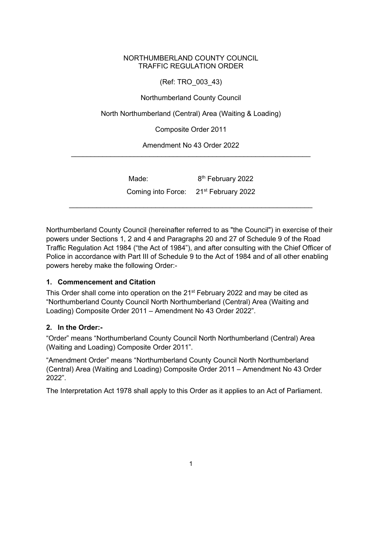## NORTHUMBERLAND COUNTY COUNCIL TRAFFIC REGULATION ORDER

(Ref: TRO\_003\_43)

Northumberland County Council

North Northumberland (Central) Area (Waiting & Loading)

Composite Order 2011

Amendment No 43 Order 2022 \_\_\_\_\_\_\_\_\_\_\_\_\_\_\_\_\_\_\_\_\_\_\_\_\_\_\_\_\_\_\_\_\_\_\_\_\_\_\_\_\_\_\_\_\_\_\_\_\_\_\_\_\_\_\_\_\_\_\_\_\_

| Made:                                             | 8 <sup>th</sup> February 2022 |  |
|---------------------------------------------------|-------------------------------|--|
| Coming into Force: 21 <sup>st</sup> February 2022 |                               |  |
|                                                   |                               |  |

Northumberland County Council (hereinafter referred to as "the Council") in exercise of their powers under Sections 1, 2 and 4 and Paragraphs 20 and 27 of Schedule 9 of the Road Traffic Regulation Act 1984 ("the Act of 1984"), and after consulting with the Chief Officer of Police in accordance with Part III of Schedule 9 to the Act of 1984 and of all other enabling powers hereby make the following Order:-

## **1. Commencement and Citation**

This Order shall come into operation on the 21<sup>st</sup> February 2022 and may be cited as "Northumberland County Council North Northumberland (Central) Area (Waiting and Loading) Composite Order 2011 – Amendment No 43 Order 2022".

## **2. In the Order:-**

"Order" means "Northumberland County Council North Northumberland (Central) Area (Waiting and Loading) Composite Order 2011".

"Amendment Order" means "Northumberland County Council North Northumberland (Central) Area (Waiting and Loading) Composite Order 2011 – Amendment No 43 Order 2022".

The Interpretation Act 1978 shall apply to this Order as it applies to an Act of Parliament.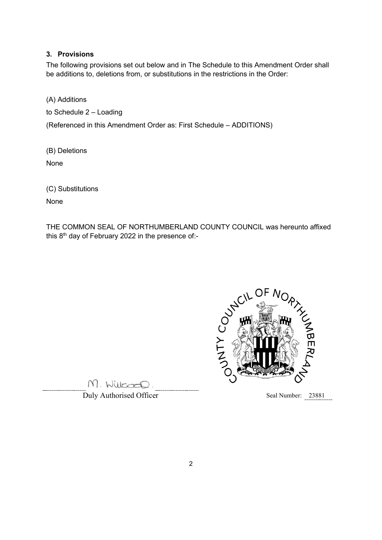## **3. Provisions**

The following provisions set out below and in The Schedule to this Amendment Order shall be additions to, deletions from, or substitutions in the restrictions in the Order:

(A) Additions

to Schedule 2 – Loading

(Referenced in this Amendment Order as: First Schedule – ADDITIONS)

(B) Deletions

None

(C) Substitutions

None

THE COMMON SEAL OF NORTHUMBERLAND COUNTY COUNCIL was hereunto affixed this  $8<sup>th</sup>$  day of February 2022 in the presence of:-



M. Willcoco.

**Duly Authorised Officer** Seal Number: 23881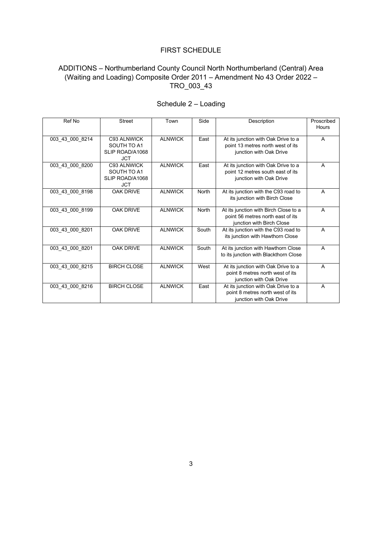#### FIRST SCHEDULE

# ADDITIONS – Northumberland County Council North Northumberland (Central) Area (Waiting and Loading) Composite Order 2011 – Amendment No 43 Order 2022 – TRO\_003\_43

| Ref No          | <b>Street</b>                                               | Town           | Side  | Description                                                                                             | Proscribed<br>Hours |
|-----------------|-------------------------------------------------------------|----------------|-------|---------------------------------------------------------------------------------------------------------|---------------------|
| 003 43 000 8214 | C93 ALNWICK<br>SOUTH TO A1<br>SLIP ROAD/A1068<br><b>JCT</b> | <b>ALNWICK</b> | East  | At its junction with Oak Drive to a<br>point 13 metres north west of its<br>junction with Oak Drive     | A                   |
| 003 43 000 8200 | C93 ALNWICK<br>SOUTH TO A1<br>SLIP ROAD/A1068<br><b>JCT</b> | <b>ALNWICK</b> | East  | At its junction with Oak Drive to a<br>point 12 metres south east of its<br>junction with Oak Drive     | A                   |
| 003 43 000 8198 | <b>OAK DRIVE</b>                                            | <b>ALNWICK</b> | North | At its junction with the C93 road to<br>its junction with Birch Close                                   | $\overline{A}$      |
| 003 43 000 8199 | <b>OAK DRIVE</b>                                            | <b>ALNWICK</b> | North | At its junction with Birch Close to a<br>point 56 metres north east of its<br>junction with Birch Close | A                   |
| 003 43 000 8201 | <b>OAK DRIVE</b>                                            | <b>ALNWICK</b> | South | At its junction with the C93 road to<br>its junction with Hawthorn Close                                | A                   |
| 003_43_000_8201 | <b>OAK DRIVE</b>                                            | <b>ALNWICK</b> | South | At its junction with Hawthorn Close<br>to its junction with Blackthorn Close                            | $\overline{A}$      |
| 003 43 000 8215 | <b>BIRCH CLOSE</b>                                          | <b>ALNWICK</b> | West  | At its junction with Oak Drive to a<br>point 8 metres north west of its<br>junction with Oak Drive      | $\overline{A}$      |
| 003 43 000 8216 | <b>BIRCH CLOSE</b>                                          | <b>ALNWICK</b> | East  | At its junction with Oak Drive to a<br>point 8 metres north west of its<br>junction with Oak Drive      | $\overline{A}$      |

# Schedule 2 – Loading